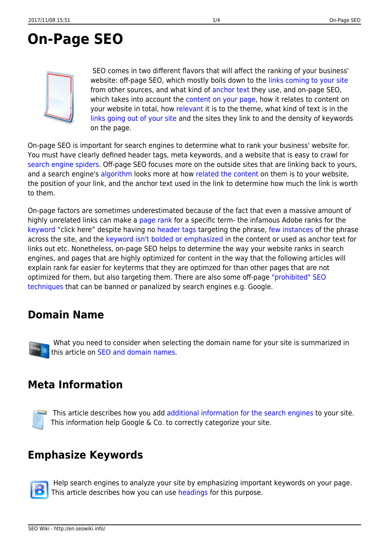# <span id="page-0-0"></span>**On-Page SEO**



SEO comes in two different flavors that will affect the ranking of your business' website: off-page SEO, which mostly boils down to the [links coming to your site](http://en.seowiki.info/offpage_seo/inbound_links) from other sources, and what kind of [anchor text](http://en.seowiki.info/offpage_seo/keywords_inbound_links) they use, and on-page SEO, which takes into account the [content on your page](http://en.seowiki.info/onpage_seo/page_content), how it relates to content on your website in total, how [relevant](http://en.seowiki.info/best_practices/relevant_content) it is to the theme, what kind of text is in the [links going out of your site](http://en.seowiki.info/onpage_seo/outbound_links) and the sites they link to and the density of keywords on the page.

On-page SEO is important for search engines to determine what to rank your business' website for. You must have clearly defined header tags, meta keywords, and a website that is easy to crawl for [search engine spiders](http://en.seowiki.info/glossary/s/spider). Off-page SEO focuses more on the outside sites that are linking back to yours, and a search engine's [algorithm](http://en.seowiki.info/glossary/a/algorithm) looks more at how [related the content](http://en.seowiki.info/best_practices/relevant_content) on them is to your website, the position of your link, and the anchor text used in the link to determine how much the link is worth to them.

On-page factors are sometimes underestimated because of the fact that even a massive amount of highly unrelated links can make a [page rank](http://en.seowiki.info/glossary/p/page_rank) for a specific term- the infamous Adobe ranks for the [keyword](http://en.seowiki.info/glossary/k/keyword) "click here" despite having no [header tags](http://en.seowiki.info/onpage_seo/headings) targeting the phrase, [few instances](http://en.seowiki.info/onpage_seo/keyword_density) of the phrase across the site, and the [keyword isn't bolded or emphasized](http://en.seowiki.info/onpage_seo/page_structure) in the content or used as anchor text for links out etc. Nonetheless, on-page SEO helps to determine the way your website ranks in search engines, and pages that are highly optimized for content in the way that the following articles will explain rank far easier for keyterms that they are optimzed for than other pages that are not optimized for them, but also targeting them. There are also some off-page ["prohibited" SEO](http://en.seowiki.info/best_practices/prohibited_seo_techniques) [techniques](http://en.seowiki.info/best_practices/prohibited_seo_techniques) that can be banned or panalized by search engines e.g. Google.

#### **Domain Name**

What you need to consider when selecting the domain name for your site is summarized in this article on [SEO and domain names](http://en.seowiki.info/onpage_seo/domain_name).

#### **Meta Information**



This article describes how you add [additional information for the search engines](http://en.seowiki.info/onpage_seo/meta_information) to your site. This information help Google & Co. to correctly categorize your site.

#### **Emphasize Keywords**



Help search engines to analyze your site by emphasizing important keywords on your page. This article describes how you can use [headings](http://en.seowiki.info/onpage_seo/headings) for this purpose.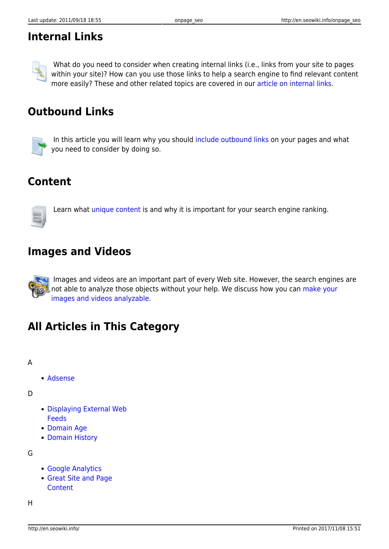### **Internal Links**



Whatdo you need to consider when creating internal links (i.e., links from your site to pages within your site)? How can you use those links to help a search engine to find relevant content more easily? These and other related topics are covered in our [article on internal links](http://en.seowiki.info/onpage_seo/internal_links).

## **Outbound Links**



In this article you will learn why you should [include outbound links](http://en.seowiki.info/onpage_seo/outbound_links) on your pages and what you need to consider by doing so.

### **Content**



Learnwhat [unique content](http://en.seowiki.info/onpage_seo/page_content) is and why it is important for your search engine ranking.

#### **Images and Videos**

 Images and videos are an important part of every Web site. However, the search engines are [n](http://en.seowiki.info/onpage_seo/pictures)ot able to analyze those objects without your help. We discuss how you can [make your](http://en.seowiki.info/onpage_seo/pictures) [images and videos analyzable](http://en.seowiki.info/onpage_seo/pictures).

### **All Articles in This Category**

#### A

[Adsense](http://en.seowiki.info/onpage_seo/adsense)

D

- [Displaying External Web](http://en.seowiki.info/onpage_seo/integrating_web_feeds) [Feeds](http://en.seowiki.info/onpage_seo/integrating_web_feeds)
- [Domain Age](http://en.seowiki.info/onpage_seo/domain_age)
- [Domain History](http://en.seowiki.info/onpage_seo/domain_history)

G

- [Google Analytics](http://en.seowiki.info/onpage_seo/google_analytics)
- [Great Site and Page](http://en.seowiki.info/onpage_seo/page_content) **[Content](http://en.seowiki.info/onpage_seo/page_content)**

H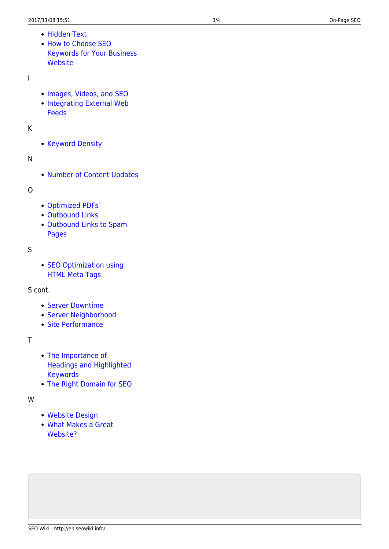- [Hidden Text](http://en.seowiki.info/onpage_seo/hidden_text)
- [How to Choose SEO](http://en.seowiki.info/onpage_seo/keywords) [Keywords for Your Business](http://en.seowiki.info/onpage_seo/keywords) **[Website](http://en.seowiki.info/onpage_seo/keywords)**

#### I

- [Images, Videos, and SEO](http://en.seowiki.info/onpage_seo/pictures)
- [Integrating External Web](http://en.seowiki.info/onpage_seo/web_feeds) [Feeds](http://en.seowiki.info/onpage_seo/web_feeds)

K

• [Keyword Density](http://en.seowiki.info/onpage_seo/keyword_density)

N

• [Number of Content Updates](http://en.seowiki.info/onpage_seo/number_content_updates)

#### O

- [Optimized PDFs](http://en.seowiki.info/onpage_seo/optimized_pdfs)
- [Outbound Links](http://en.seowiki.info/onpage_seo/outbound_links)
- [Outbound Links to Spam](http://en.seowiki.info/onpage_seo/outbound_links_spam) [Pages](http://en.seowiki.info/onpage_seo/outbound_links_spam)

S

• [SEO Optimization using](http://en.seowiki.info/onpage_seo/meta_information) [HTML Meta Tags](http://en.seowiki.info/onpage_seo/meta_information)

S cont.

- [Server Downtime](http://en.seowiki.info/onpage_seo/server_downtime)
- [Server Neighborhood](http://en.seowiki.info/onpage_seo/domain_neighborhood)
- [Site Performance](http://en.seowiki.info/onpage_seo/site_performance)

T

- [The Importance of](http://en.seowiki.info/onpage_seo/headings) [Headings and Highlighted](http://en.seowiki.info/onpage_seo/headings) [Keywords](http://en.seowiki.info/onpage_seo/headings)
- [The Right Domain for SEO](http://en.seowiki.info/onpage_seo/domain_name)

W

- [Website Design](http://en.seowiki.info/onpage_seo/website_design)
- [What Makes a Great](http://en.seowiki.info/onpage_seo/great_website) [Website?](http://en.seowiki.info/onpage_seo/great_website)